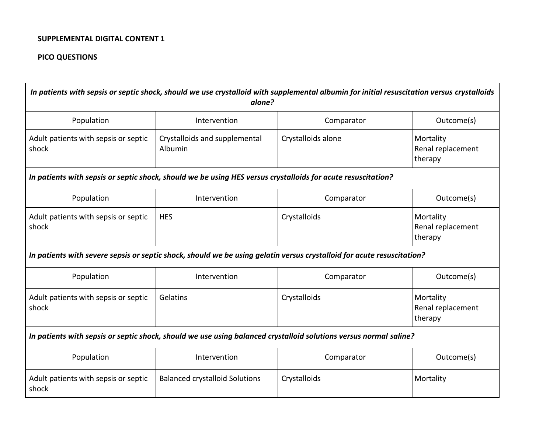## **SUPPLEMENTAL DIGITAL CONTENT 1**

## **PICO QUESTIONS**

| In patients with sepsis or septic shock, should we use crystalloid with supplemental albumin for initial resuscitation versus crystalloids<br>alone? |                                          |                                                                                                                        |                                           |  |  |
|------------------------------------------------------------------------------------------------------------------------------------------------------|------------------------------------------|------------------------------------------------------------------------------------------------------------------------|-------------------------------------------|--|--|
| Population                                                                                                                                           | Intervention                             | Comparator                                                                                                             | Outcome(s)                                |  |  |
| Adult patients with sepsis or septic<br>shock                                                                                                        | Crystalloids and supplemental<br>Albumin | Crystalloids alone                                                                                                     | Mortality<br>Renal replacement<br>therapy |  |  |
| In patients with sepsis or septic shock, should we be using HES versus crystalloids for acute resuscitation?                                         |                                          |                                                                                                                        |                                           |  |  |
| Population                                                                                                                                           | Intervention                             | Comparator                                                                                                             | Outcome(s)                                |  |  |
| Adult patients with sepsis or septic<br>shock                                                                                                        | <b>HES</b>                               | Crystalloids                                                                                                           | Mortality<br>Renal replacement<br>therapy |  |  |
|                                                                                                                                                      |                                          | In patients with severe sepsis or septic shock, should we be using gelatin versus crystalloid for acute resuscitation? |                                           |  |  |
| Population                                                                                                                                           | Intervention                             | Comparator                                                                                                             | Outcome(s)                                |  |  |
| Adult patients with sepsis or septic<br>shock                                                                                                        | Gelatins                                 | Crystalloids                                                                                                           | Mortality<br>Renal replacement<br>therapy |  |  |
|                                                                                                                                                      |                                          | In patients with sepsis or septic shock, should we use using balanced crystalloid solutions versus normal saline?      |                                           |  |  |
| Population                                                                                                                                           | Intervention                             | Comparator                                                                                                             | Outcome(s)                                |  |  |
| Adult patients with sepsis or septic<br>shock                                                                                                        | <b>Balanced crystalloid Solutions</b>    | Crystalloids                                                                                                           | Mortality                                 |  |  |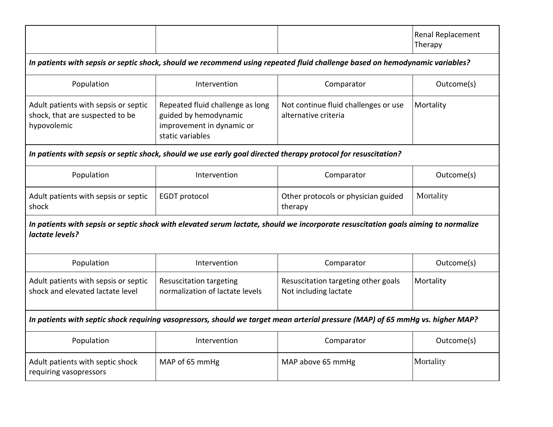|                                                                                                                |                                                                                                            |                                                                                                                                    | Renal Replacement<br>Therapy |
|----------------------------------------------------------------------------------------------------------------|------------------------------------------------------------------------------------------------------------|------------------------------------------------------------------------------------------------------------------------------------|------------------------------|
|                                                                                                                |                                                                                                            | In patients with sepsis or septic shock, should we recommend using repeated fluid challenge based on hemodynamic variables?        |                              |
| Population                                                                                                     | Intervention                                                                                               | Comparator                                                                                                                         | Outcome(s)                   |
| Adult patients with sepsis or septic<br>shock, that are suspected to be<br>hypovolemic                         | Repeated fluid challenge as long<br>guided by hemodynamic<br>improvement in dynamic or<br>static variables | Not continue fluid challenges or use<br>alternative criteria                                                                       | Mortality                    |
| In patients with sepsis or septic shock, should we use early goal directed therapy protocol for resuscitation? |                                                                                                            |                                                                                                                                    |                              |
| Population                                                                                                     | Intervention                                                                                               | Comparator                                                                                                                         | Outcome(s)                   |
| Adult patients with sepsis or septic<br>shock                                                                  | <b>EGDT</b> protocol                                                                                       | Other protocols or physician guided<br>therapy                                                                                     | Mortality                    |
| lactate levels?                                                                                                |                                                                                                            | In patients with sepsis or septic shock with elevated serum lactate, should we incorporate resuscitation goals aiming to normalize |                              |
| Population                                                                                                     | Intervention                                                                                               | Comparator                                                                                                                         | Outcome(s)                   |
| Adult patients with sepsis or septic<br>shock and elevated lactate level                                       | <b>Resuscitation targeting</b><br>normalization of lactate levels                                          | Resuscitation targeting other goals<br>Not including lactate                                                                       | Mortality                    |
|                                                                                                                |                                                                                                            | In patients with septic shock requiring vasopressors, should we target mean arterial pressure (MAP) of 65 mmHg vs. higher MAP?     |                              |
| Population                                                                                                     | Intervention                                                                                               | Comparator                                                                                                                         | Outcome(s)                   |
| Adult patients with septic shock<br>requiring vasopressors                                                     | MAP of 65 mmHg                                                                                             | MAP above 65 mmHg                                                                                                                  | Mortality                    |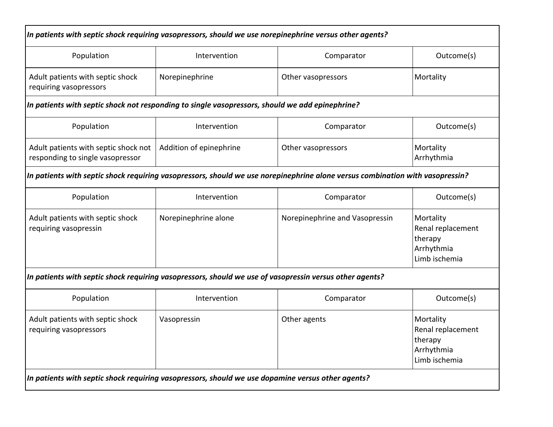| In patients with septic shock requiring vasopressors, should we use norepinephrine versus other agents? |                         |                                                                                                                               |                                                                           |  |
|---------------------------------------------------------------------------------------------------------|-------------------------|-------------------------------------------------------------------------------------------------------------------------------|---------------------------------------------------------------------------|--|
| Population                                                                                              | Intervention            | Comparator                                                                                                                    | Outcome(s)                                                                |  |
| Adult patients with septic shock<br>requiring vasopressors                                              | Norepinephrine          | Other vasopressors                                                                                                            | Mortality                                                                 |  |
| In patients with septic shock not responding to single vasopressors, should we add epinephrine?         |                         |                                                                                                                               |                                                                           |  |
| Population                                                                                              | Intervention            | Comparator                                                                                                                    | Outcome(s)                                                                |  |
| Adult patients with septic shock not<br>responding to single vasopressor                                | Addition of epinephrine | Other vasopressors                                                                                                            | Mortality<br>Arrhythmia                                                   |  |
|                                                                                                         |                         | In patients with septic shock requiring vasopressors, should we use norepinephrine alone versus combination with vasopressin? |                                                                           |  |
| Population                                                                                              | Intervention            | Comparator                                                                                                                    | Outcome(s)                                                                |  |
| Adult patients with septic shock<br>requiring vasopressin                                               | Norepinephrine alone    | Norepinephrine and Vasopressin                                                                                                | Mortality<br>Renal replacement<br>therapy<br>Arrhythmia<br>Limb ischemia  |  |
| In patients with septic shock requiring vasopressors, should we use of vasopressin versus other agents? |                         |                                                                                                                               |                                                                           |  |
| Population                                                                                              | Intervention            | Comparator                                                                                                                    | Outcome(s)                                                                |  |
| Adult patients with septic shock<br>requiring vasopressors                                              | Vasopressin             | Other agents                                                                                                                  | Mortality<br>Renal replacement<br> therapy<br>Arrhythmia<br>Limb ischemia |  |
| In patients with septic shock requiring vasopressors, should we use dopamine versus other agents?       |                         |                                                                                                                               |                                                                           |  |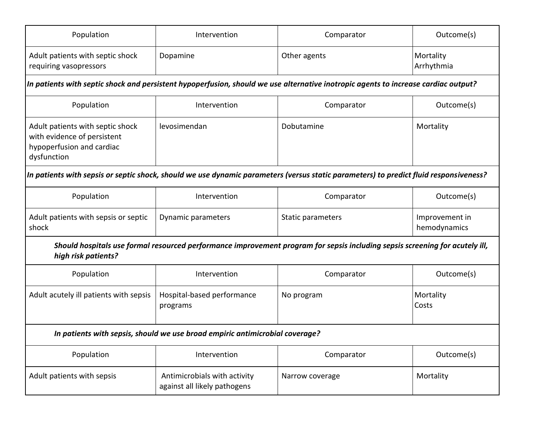| Population                                                                                                                         | Intervention                                                 | Comparator                                                                                                                            | Outcome(s)                     |  |  |  |
|------------------------------------------------------------------------------------------------------------------------------------|--------------------------------------------------------------|---------------------------------------------------------------------------------------------------------------------------------------|--------------------------------|--|--|--|
| Adult patients with septic shock<br>requiring vasopressors                                                                         | Dopamine                                                     | Other agents                                                                                                                          | Mortality<br>Arrhythmia        |  |  |  |
| In patients with septic shock and persistent hypoperfusion, should we use alternative inotropic agents to increase cardiac output? |                                                              |                                                                                                                                       |                                |  |  |  |
| Population                                                                                                                         | Intervention                                                 | Comparator                                                                                                                            | Outcome(s)                     |  |  |  |
| Adult patients with septic shock<br>with evidence of persistent<br>hypoperfusion and cardiac<br>dysfunction                        | levosimendan                                                 | Dobutamine                                                                                                                            | Mortality                      |  |  |  |
|                                                                                                                                    |                                                              | In patients with sepsis or septic shock, should we use dynamic parameters (versus static parameters) to predict fluid responsiveness? |                                |  |  |  |
| Population                                                                                                                         | Intervention                                                 | Comparator                                                                                                                            | Outcome(s)                     |  |  |  |
| Adult patients with sepsis or septic<br>shock                                                                                      | Dynamic parameters                                           | Static parameters                                                                                                                     | Improvement in<br>hemodynamics |  |  |  |
| high risk patients?                                                                                                                |                                                              | Should hospitals use formal resourced performance improvement program for sepsis including sepsis screening for acutely ill,          |                                |  |  |  |
| Population                                                                                                                         | Intervention                                                 | Comparator                                                                                                                            | Outcome(s)                     |  |  |  |
| Adult acutely ill patients with sepsis                                                                                             | Hospital-based performance<br>programs                       | No program                                                                                                                            | Mortality<br>Costs             |  |  |  |
| In patients with sepsis, should we use broad empiric antimicrobial coverage?                                                       |                                                              |                                                                                                                                       |                                |  |  |  |
| Population                                                                                                                         | Intervention                                                 | Comparator                                                                                                                            | Outcome(s)                     |  |  |  |
| Adult patients with sepsis                                                                                                         | Antimicrobials with activity<br>against all likely pathogens | Narrow coverage                                                                                                                       | Mortality                      |  |  |  |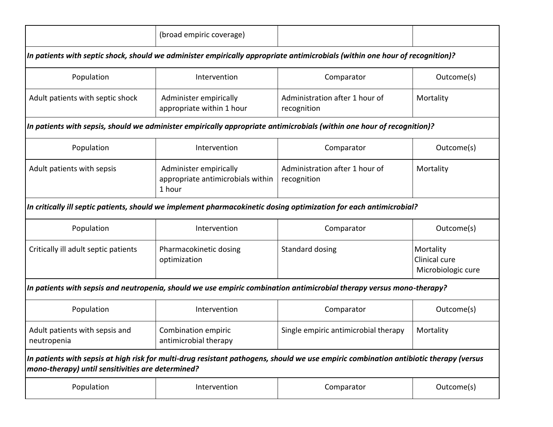|                                                   | (broad empiric coverage)                                              |                                                                                                                                            |                                                  |
|---------------------------------------------------|-----------------------------------------------------------------------|--------------------------------------------------------------------------------------------------------------------------------------------|--------------------------------------------------|
|                                                   |                                                                       | In patients with septic shock, should we administer empirically appropriate antimicrobials (within one hour of recognition)?               |                                                  |
| Population                                        | Intervention                                                          | Comparator                                                                                                                                 | Outcome(s)                                       |
| Adult patients with septic shock                  | Administer empirically<br>appropriate within 1 hour                   | Administration after 1 hour of<br>recognition                                                                                              | Mortality                                        |
|                                                   |                                                                       | In patients with sepsis, should we administer empirically appropriate antimicrobials (within one hour of recognition)?                     |                                                  |
| Population                                        | Intervention                                                          | Comparator                                                                                                                                 | Outcome(s)                                       |
| Adult patients with sepsis                        | Administer empirically<br>appropriate antimicrobials within<br>1 hour | Administration after 1 hour of<br>recognition                                                                                              | Mortality                                        |
|                                                   |                                                                       | In critically ill septic patients, should we implement pharmacokinetic dosing optimization for each antimicrobial?                         |                                                  |
| Population                                        | Intervention                                                          | Comparator                                                                                                                                 | Outcome(s)                                       |
| Critically ill adult septic patients              | Pharmacokinetic dosing<br>optimization                                | Standard dosing                                                                                                                            | Mortality<br>Clinical cure<br>Microbiologic cure |
|                                                   |                                                                       | In patients with sepsis and neutropenia, should we use empiric combination antimicrobial therapy versus mono-therapy?                      |                                                  |
| Population                                        | Intervention                                                          | Comparator                                                                                                                                 | Outcome(s)                                       |
| Adult patients with sepsis and<br>neutropenia     | Combination empiric<br>antimicrobial therapy                          | Single empiric antimicrobial therapy                                                                                                       | Mortality                                        |
| mono-therapy) until sensitivities are determined? |                                                                       | In patients with sepsis at high risk for multi-drug resistant pathogens, should we use empiric combination antibiotic therapy (versus $\,$ |                                                  |
| Population                                        | Intervention                                                          | Comparator                                                                                                                                 | Outcome(s)                                       |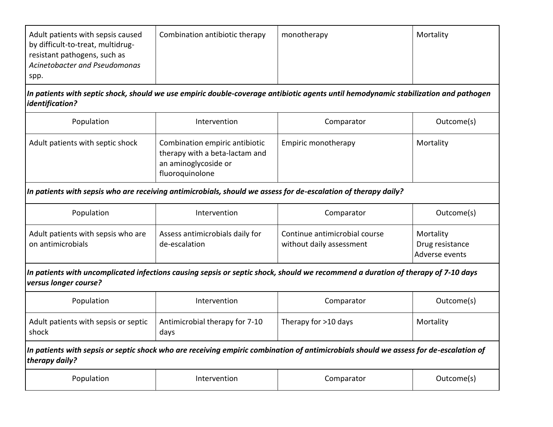| Adult patients with sepsis caused | Combination antibiotic therapy | monotherapy | Mortality |
|-----------------------------------|--------------------------------|-------------|-----------|
| by difficult-to-treat, multidrug- |                                |             |           |
| resistant pathogens, such as      |                                |             |           |
| Acinetobacter and Pseudomonas     |                                |             |           |
| spp.                              |                                |             |           |

*In patients with septic shock, should we use empiric double-coverage antibiotic agents until hemodynamic stabilization and pathogen identification?*

| Population                       | Intervention                                                                                                | Comparator          | Outcome(s) |
|----------------------------------|-------------------------------------------------------------------------------------------------------------|---------------------|------------|
| Adult patients with septic shock | Combination empiric antibiotic<br>therapy with a beta-lactam and<br>an aminoglycoside or<br>fluoroquinolone | Empiric monotherapy | Mortality  |

*In patients with sepsis who are receiving antimicrobials, should we assess for de-escalation of therapy daily?*

| Population                                              | Intervention                                     | Comparator                                                | Outcome(s)                                     |
|---------------------------------------------------------|--------------------------------------------------|-----------------------------------------------------------|------------------------------------------------|
| Adult patients with sepsis who are<br>on antimicrobials | Assess antimicrobials daily for<br>de-escalation | Continue antimicrobial course<br>without daily assessment | Mortality<br>Drug resistance<br>Adverse events |

*In patients with uncomplicated infections causing sepsis or septic shock, should we recommend a duration of therapy of 7-10 days versus longer course?*

| Population                                    | Intervention                           | Comparator             | Outcome(s) |
|-----------------------------------------------|----------------------------------------|------------------------|------------|
| Adult patients with sepsis or septic<br>shock | Antimicrobial therapy for 7-10<br>days | Therapy for $>10$ days | Mortality  |

## *In patients with sepsis or septic shock who are receiving empiric combination of antimicrobials should we assess for de-escalation of therapy daily?*

| Population | Intervention | Comparator_ | (Jutcome(s |
|------------|--------------|-------------|------------|
|            |              |             |            |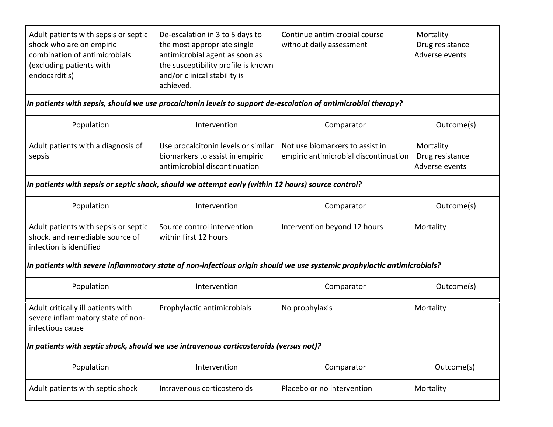| Adult patients with sepsis or septic<br>shock who are on empiric<br>combination of antimicrobials<br>(excluding patients with<br>endocarditis) | De-escalation in 3 to 5 days to<br>the most appropriate single<br>antimicrobial agent as soon as<br>the susceptibility profile is known<br>and/or clinical stability is<br>achieved. | Continue antimicrobial course<br>without daily assessment                                                               | Mortality<br>Drug resistance<br>Adverse events |
|------------------------------------------------------------------------------------------------------------------------------------------------|--------------------------------------------------------------------------------------------------------------------------------------------------------------------------------------|-------------------------------------------------------------------------------------------------------------------------|------------------------------------------------|
| In patients with sepsis, should we use procalcitonin levels to support de-escalation of antimicrobial therapy?                                 |                                                                                                                                                                                      |                                                                                                                         |                                                |
| Population                                                                                                                                     | Intervention                                                                                                                                                                         | Comparator                                                                                                              | Outcome(s)                                     |
| Adult patients with a diagnosis of<br>sepsis                                                                                                   | Use procalcitonin levels or similar<br>biomarkers to assist in empiric<br>antimicrobial discontinuation                                                                              | Not use biomarkers to assist in<br>empiric antimicrobial discontinuation                                                | Mortality<br>Drug resistance<br>Adverse events |
| In patients with sepsis or septic shock, should we attempt early (within 12 hours) source control?                                             |                                                                                                                                                                                      |                                                                                                                         |                                                |
| Population                                                                                                                                     | Intervention                                                                                                                                                                         | Comparator                                                                                                              | Outcome(s)                                     |
| Adult patients with sepsis or septic<br>shock, and remediable source of<br>infection is identified                                             | Source control intervention<br>within first 12 hours                                                                                                                                 | Intervention beyond 12 hours                                                                                            | Mortality                                      |
|                                                                                                                                                |                                                                                                                                                                                      | In patients with severe inflammatory state of non-infectious origin should we use systemic prophylactic antimicrobials? |                                                |
| Population                                                                                                                                     | Intervention                                                                                                                                                                         | Comparator                                                                                                              | Outcome(s)                                     |
| Adult critically ill patients with<br>severe inflammatory state of non-<br>infectious cause                                                    | Prophylactic antimicrobials                                                                                                                                                          | No prophylaxis                                                                                                          | Mortality                                      |
| In patients with septic shock, should we use intravenous corticosteroids (versus not)?                                                         |                                                                                                                                                                                      |                                                                                                                         |                                                |
| Population                                                                                                                                     | Intervention                                                                                                                                                                         | Comparator                                                                                                              | Outcome(s)                                     |
| Adult patients with septic shock                                                                                                               | Intravenous corticosteroids                                                                                                                                                          | Placebo or no intervention                                                                                              | Mortality                                      |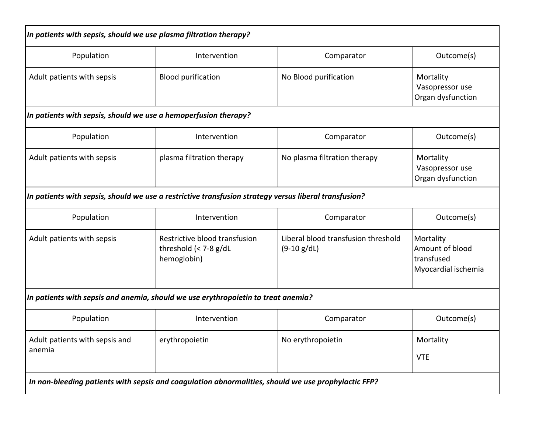| In patients with sepsis, should we use plasma filtration therapy? |                                                                                                       |                                                      |                                                                   |
|-------------------------------------------------------------------|-------------------------------------------------------------------------------------------------------|------------------------------------------------------|-------------------------------------------------------------------|
| Population                                                        | Intervention                                                                                          | Comparator                                           | Outcome(s)                                                        |
| Adult patients with sepsis                                        | <b>Blood purification</b>                                                                             | No Blood purification                                | Mortality<br>Vasopressor use<br>Organ dysfunction                 |
| In patients with sepsis, should we use a hemoperfusion therapy?   |                                                                                                       |                                                      |                                                                   |
| Population                                                        | Intervention                                                                                          | Comparator                                           | Outcome(s)                                                        |
| Adult patients with sepsis                                        | plasma filtration therapy                                                                             | No plasma filtration therapy                         | Mortality<br>Vasopressor use<br>Organ dysfunction                 |
|                                                                   | In patients with sepsis, should we use a restrictive transfusion strategy versus liberal transfusion? |                                                      |                                                                   |
| Population                                                        | Intervention                                                                                          | Comparator                                           | Outcome(s)                                                        |
| Adult patients with sepsis                                        | Restrictive blood transfusion<br>threshold $(7-8 \text{ g/dL}hemoglobin)$                             | Liberal blood transfusion threshold<br>$(9-10 g/dL)$ | Mortality<br>Amount of blood<br>transfused<br>Myocardial ischemia |
|                                                                   | In patients with sepsis and anemia, should we use erythropoietin to treat anemia?                     |                                                      |                                                                   |
| Population                                                        | Intervention                                                                                          | Comparator                                           | Outcome(s)                                                        |
| Adult patients with sepsis and<br>anemia                          | erythropoietin                                                                                        | No erythropoietin                                    | Mortality<br><b>VTE</b>                                           |
|                                                                   | In non-bleeding patients with sepsis and coagulation abnormalities, should we use prophylactic FFP?   |                                                      |                                                                   |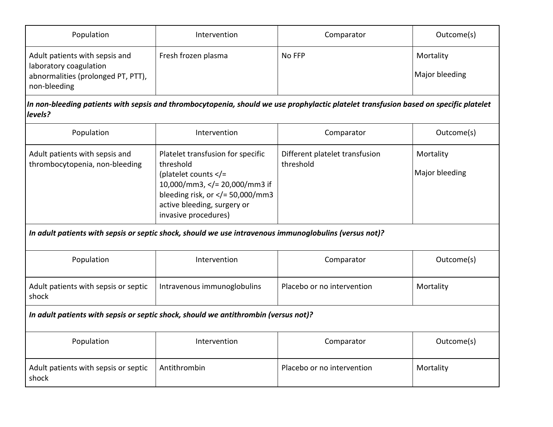| Population                                                                                                     | Intervention        | Comparator | Outcome(s)                  |
|----------------------------------------------------------------------------------------------------------------|---------------------|------------|-----------------------------|
| Adult patients with sepsis and<br>laboratory coagulation<br>abnormalities (prolonged PT, PTT),<br>non-bleeding | Fresh frozen plasma | No FFP     | Mortality<br>Major bleeding |

*In non-bleeding patients with sepsis and thrombocytopenia, should we use prophylactic platelet transfusion based on specific platelet levels?*

| Population                                                                                             | Intervention                                                                                                                                                                                                  | Comparator                                  | Outcome(s)                  |  |
|--------------------------------------------------------------------------------------------------------|---------------------------------------------------------------------------------------------------------------------------------------------------------------------------------------------------------------|---------------------------------------------|-----------------------------|--|
| Adult patients with sepsis and<br>thrombocytopenia, non-bleeding                                       | Platelet transfusion for specific<br>threshold<br>(platelet counts $\lt/$ =<br>10,000/mm3, = 20,000/mm3 if<br bleeding risk, or $\langle$ = 50,000/mm3<br>active bleeding, surgery or<br>invasive procedures) | Different platelet transfusion<br>threshold | Mortality<br>Major bleeding |  |
| In adult patients with sepsis or septic shock, should we use intravenous immunoglobulins (versus not)? |                                                                                                                                                                                                               |                                             |                             |  |
| Population                                                                                             | Intervention                                                                                                                                                                                                  | Comparator                                  | Outcome(s)                  |  |
| Adult patients with sepsis or septic<br>shock                                                          | Intravenous immunoglobulins                                                                                                                                                                                   | Placebo or no intervention                  | Mortality                   |  |
| In adult patients with sepsis or septic shock, should we antithrombin (versus not)?                    |                                                                                                                                                                                                               |                                             |                             |  |
| Population                                                                                             | Intervention                                                                                                                                                                                                  | Comparator                                  | Outcome(s)                  |  |
| Adult patients with sepsis or septic<br>shock                                                          | Antithrombin                                                                                                                                                                                                  | Placebo or no intervention                  | Mortality                   |  |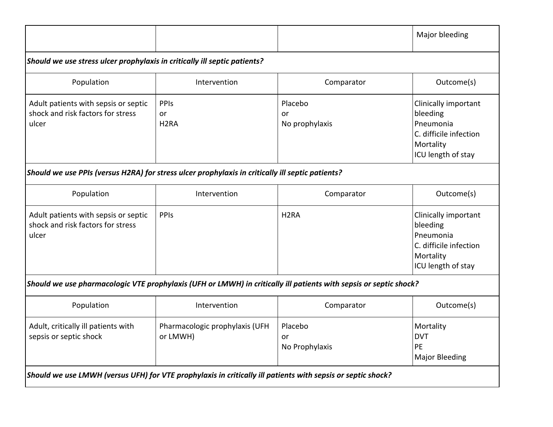|                                                                                                                                                                                        |                                            |                                 | Major bleeding                                                                                             |
|----------------------------------------------------------------------------------------------------------------------------------------------------------------------------------------|--------------------------------------------|---------------------------------|------------------------------------------------------------------------------------------------------------|
| Should we use stress ulcer prophylaxis in critically ill septic patients?                                                                                                              |                                            |                                 |                                                                                                            |
| Population                                                                                                                                                                             | Intervention                               | Comparator                      | Outcome(s)                                                                                                 |
| Adult patients with sepsis or septic<br>shock and risk factors for stress<br>ulcer<br>Should we use PPIs (versus H2RA) for stress ulcer prophylaxis in critically ill septic patients? | <b>PPIs</b><br>or<br>H <sub>2</sub> RA     | Placebo<br>or<br>No prophylaxis | Clinically important<br>bleeding<br>Pneumonia<br>C. difficile infection<br>Mortality<br>ICU length of stay |
| Population                                                                                                                                                                             | Intervention                               | Comparator                      | Outcome(s)                                                                                                 |
| Adult patients with sepsis or septic<br>shock and risk factors for stress<br>ulcer                                                                                                     | <b>PPIS</b>                                | H <sub>2</sub> RA               | Clinically important<br>bleeding<br>Pneumonia<br>C. difficile infection<br>Mortality<br>ICU length of stay |
| Should we use pharmacologic VTE prophylaxis (UFH or LMWH) in critically ill patients with sepsis or septic shock?                                                                      |                                            |                                 |                                                                                                            |
| Population                                                                                                                                                                             | Intervention                               | Comparator                      | Outcome(s)                                                                                                 |
| Adult, critically ill patients with<br>sepsis or septic shock                                                                                                                          | Pharmacologic prophylaxis (UFH<br>or LMWH) | Placebo<br>or<br>No Prophylaxis | Mortality<br><b>DVT</b><br>PE<br><b>Major Bleeding</b>                                                     |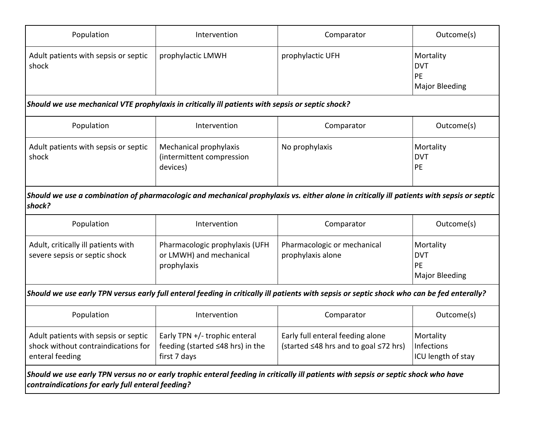| Population                                                                                                                                                                              | Intervention                                                                      | Comparator                                                                                                                                 | Outcome(s)                                             |
|-----------------------------------------------------------------------------------------------------------------------------------------------------------------------------------------|-----------------------------------------------------------------------------------|--------------------------------------------------------------------------------------------------------------------------------------------|--------------------------------------------------------|
| Adult patients with sepsis or septic<br>shock                                                                                                                                           | prophylactic LMWH                                                                 | prophylactic UFH                                                                                                                           | Mortality<br><b>DVT</b><br>PE<br><b>Major Bleeding</b> |
| Should we use mechanical VTE prophylaxis in critically ill patients with sepsis or septic shock?                                                                                        |                                                                                   |                                                                                                                                            |                                                        |
| Population                                                                                                                                                                              | Intervention                                                                      | Comparator                                                                                                                                 | Outcome(s)                                             |
| Adult patients with sepsis or septic<br>shock                                                                                                                                           | Mechanical prophylaxis<br>(intermittent compression<br>devices)                   | No prophylaxis                                                                                                                             | Mortality<br><b>DVT</b><br>PE                          |
| shock?                                                                                                                                                                                  |                                                                                   | Should we use a combination of pharmacologic and mechanical prophylaxis vs. either alone in critically ill patients with sepsis or septic  |                                                        |
| Population                                                                                                                                                                              | Intervention                                                                      | Comparator                                                                                                                                 | Outcome(s)                                             |
| Adult, critically ill patients with<br>severe sepsis or septic shock                                                                                                                    | Pharmacologic prophylaxis (UFH<br>or LMWH) and mechanical<br>prophylaxis          | Pharmacologic or mechanical<br>prophylaxis alone                                                                                           | Mortality<br><b>DVT</b><br>PE<br><b>Major Bleeding</b> |
|                                                                                                                                                                                         |                                                                                   | Should we use early TPN versus early full enteral feeding in critically ill patients with sepsis or septic shock who can be fed enterally? |                                                        |
| Population                                                                                                                                                                              | Intervention                                                                      | Comparator                                                                                                                                 | Outcome(s)                                             |
| Adult patients with sepsis or septic<br>shock without contraindications for<br>enteral feeding                                                                                          | Early TPN +/- trophic enteral<br>feeding (started ≤48 hrs) in the<br>first 7 days | Early full enteral feeding alone<br>(started $\leq$ 48 hrs and to goal $\leq$ 72 hrs)                                                      | Mortality<br>Infections<br>ICU length of stay          |
| Should we use early TPN versus no or early trophic enteral feeding in critically ill patients with sepsis or septic shock who have<br>contraindications for early full enteral feeding? |                                                                                   |                                                                                                                                            |                                                        |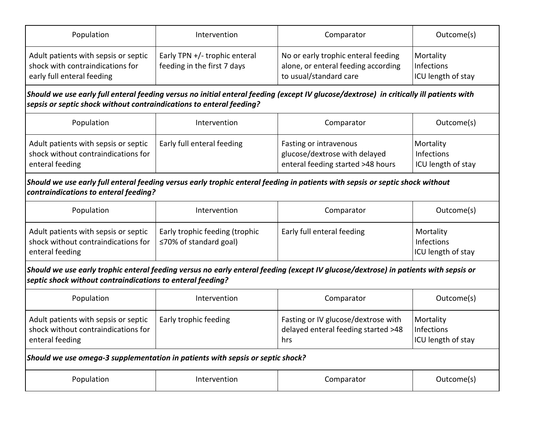| Population                                                                                             | Intervention                                                 | Comparator                                                                                           | Outcome(s)                                    |
|--------------------------------------------------------------------------------------------------------|--------------------------------------------------------------|------------------------------------------------------------------------------------------------------|-----------------------------------------------|
| Adult patients with sepsis or septic<br>shock with contraindications for<br>early full enteral feeding | Early TPN +/- trophic enteral<br>feeding in the first 7 days | No or early trophic enteral feeding<br>alone, or enteral feeding according<br>to usual/standard care | Mortality<br>Infections<br>ICU length of stay |

*Should we use early full enteral feeding versus no initial enteral feeding (except IV glucose/dextrose) in critically ill patients with sepsis or septic shock without contraindications to enteral feeding?*

| Population                           | Intervention               | Comparator                        | Outcome(s)                |
|--------------------------------------|----------------------------|-----------------------------------|---------------------------|
| Adult patients with sepsis or septic | Early full enteral feeding | Fasting or intravenous            | Mortality                 |
| shock without contraindications for  |                            | glucose/dextrose with delayed     | Infections                |
| enteral feeding                      |                            | enteral feeding started >48 hours | <b>ICU</b> length of stay |

*Should we use early full enteral feeding versus early trophic enteral feeding in patients with sepsis or septic shock without contraindications to enteral feeding?*

| Population                                                                                     | Intervention                                                   | Comparator                 | Outcome(s)                                    |
|------------------------------------------------------------------------------------------------|----------------------------------------------------------------|----------------------------|-----------------------------------------------|
| Adult patients with sepsis or septic<br>shock without contraindications for<br>enteral feeding | Early trophic feeding (trophic<br>$\leq$ 70% of standard goal) | Early full enteral feeding | Mortality<br>Infections<br>ICU length of stay |

*Should we use early trophic enteral feeding versus no early enteral feeding (except IV glucose/dextrose) in patients with sepsis or septic shock without contraindications to enteral feeding?*

| Population                                                                                     | Intervention          | Comparator                                                                        | Outcome(s)                                    |  |
|------------------------------------------------------------------------------------------------|-----------------------|-----------------------------------------------------------------------------------|-----------------------------------------------|--|
| Adult patients with sepsis or septic<br>shock without contraindications for<br>enteral feeding | Early trophic feeding | Fasting or IV glucose/dextrose with<br>delayed enteral feeding started >48<br>hrs | Mortality<br>Infections<br>ICU length of stay |  |
| Should we use omega-3 supplementation in patients with sepsis or septic shock?                 |                       |                                                                                   |                                               |  |
| Population                                                                                     | Intervention          | Comparator                                                                        | Outcome(s)                                    |  |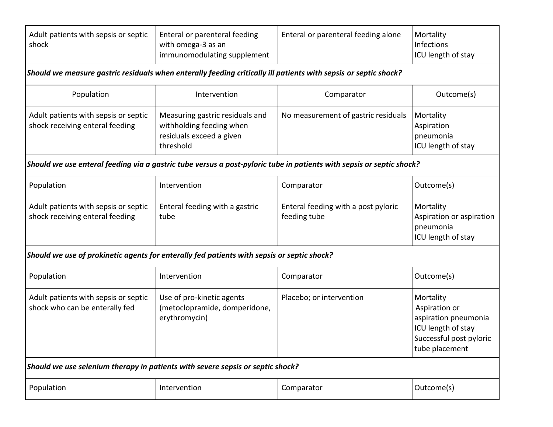| Adult patients with sepsis or septic                                                                            | Enteral or parenteral feeding   | Enteral or parenteral feeding alone                                                                                  | Mortality                |
|-----------------------------------------------------------------------------------------------------------------|---------------------------------|----------------------------------------------------------------------------------------------------------------------|--------------------------|
| shock                                                                                                           | with omega-3 as an              |                                                                                                                      | Infections               |
|                                                                                                                 | immunomodulating supplement     |                                                                                                                      | ICU length of stay       |
| Should we measure gastric residuals when enterally feeding critically ill patients with sepsis or septic shock? |                                 |                                                                                                                      |                          |
| Population                                                                                                      | Intervention                    | Comparator                                                                                                           | Outcome(s)               |
| Adult patients with sepsis or septic                                                                            | Measuring gastric residuals and | No measurement of gastric residuals                                                                                  | Mortality                |
| shock receiving enteral feeding                                                                                 | withholding feeding when        |                                                                                                                      | Aspiration               |
|                                                                                                                 | residuals exceed a given        |                                                                                                                      | pneumonia                |
|                                                                                                                 | threshold                       |                                                                                                                      | ICU length of stay       |
|                                                                                                                 |                                 | Should we use enteral feeding via a gastric tube versus a post-pyloric tube in patients with sepsis or septic shock? |                          |
| Population                                                                                                      | Intervention                    | Comparator                                                                                                           | Outcome(s)               |
| Adult patients with sepsis or septic                                                                            | Enteral feeding with a gastric  | Enteral feeding with a post pyloric                                                                                  | Mortality                |
| shock receiving enteral feeding                                                                                 | tube                            | feeding tube                                                                                                         | Aspiration or aspiration |
|                                                                                                                 |                                 |                                                                                                                      | pneumonia                |
|                                                                                                                 |                                 |                                                                                                                      | ICU length of stay       |
| Should we use of prokinetic agents for enterally fed patients with sepsis or septic shock?                      |                                 |                                                                                                                      |                          |
| Population                                                                                                      | Intervention                    | Comparator                                                                                                           | Outcome(s)               |
| Adult patients with sepsis or septic                                                                            | Use of pro-kinetic agents       | Placebo; or intervention                                                                                             | Mortality                |
| shock who can be enterally fed                                                                                  | (metoclopramide, domperidone,   |                                                                                                                      | Aspiration or            |
|                                                                                                                 | erythromycin)                   |                                                                                                                      | aspiration pneumonia     |
|                                                                                                                 |                                 |                                                                                                                      | ICU length of stay       |
|                                                                                                                 |                                 |                                                                                                                      | Successful post pyloric  |
|                                                                                                                 |                                 |                                                                                                                      | tube placement           |
| Should we use selenium therapy in patients with severe sepsis or septic shock?                                  |                                 |                                                                                                                      |                          |
| Population                                                                                                      | Intervention                    | Comparator                                                                                                           | Outcome(s)               |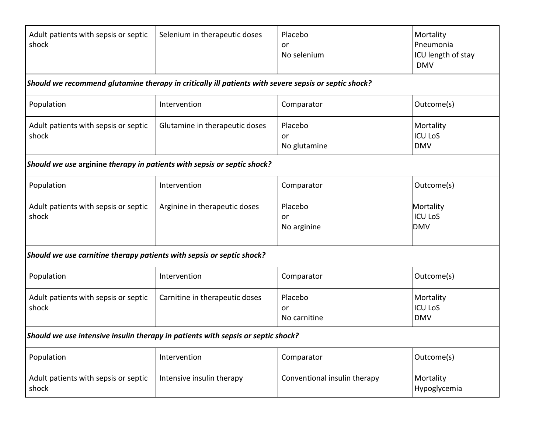| Adult patients with sepsis or septic<br>shock                                                        | Selenium in therapeutic doses  | Placebo<br>or<br>No selenium  | Mortality<br>Pneumonia<br>ICU length of stay<br><b>DMV</b> |  |
|------------------------------------------------------------------------------------------------------|--------------------------------|-------------------------------|------------------------------------------------------------|--|
| Should we recommend glutamine therapy in critically ill patients with severe sepsis or septic shock? |                                |                               |                                                            |  |
| Population                                                                                           | Intervention                   | Comparator                    | Outcome(s)                                                 |  |
| Adult patients with sepsis or septic<br>shock                                                        | Glutamine in therapeutic doses | Placebo<br>or<br>No glutamine | Mortality<br><b>ICU LoS</b><br><b>DMV</b>                  |  |
| Should we use arginine therapy in patients with sepsis or septic shock?                              |                                |                               |                                                            |  |
| Population                                                                                           | Intervention                   | Comparator                    | Outcome(s)                                                 |  |
| Adult patients with sepsis or septic<br>shock                                                        | Arginine in therapeutic doses  | Placebo<br>or<br>No arginine  | Mortality<br><b>ICU LoS</b><br><b>DMV</b>                  |  |
| Should we use carnitine therapy patients with sepsis or septic shock?                                |                                |                               |                                                            |  |
| Population                                                                                           | Intervention                   | Comparator                    | Outcome(s)                                                 |  |
| Adult patients with sepsis or septic<br>shock                                                        | Carnitine in therapeutic doses | Placebo<br>or<br>No carnitine | Mortality<br><b>ICU LoS</b><br><b>DMV</b>                  |  |
| Should we use intensive insulin therapy in patients with sepsis or septic shock?                     |                                |                               |                                                            |  |
| Population                                                                                           | Intervention                   | Comparator                    | Outcome(s)                                                 |  |
| Adult patients with sepsis or septic<br>shock                                                        | Intensive insulin therapy      | Conventional insulin therapy  | Mortality<br>Hypoglycemia                                  |  |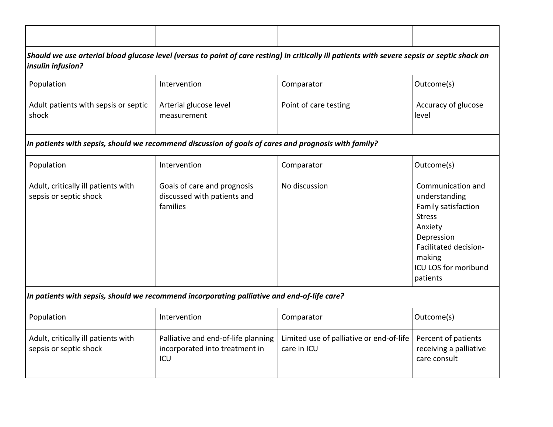| Should we use arterial blood glucose level (versus to point of care resting) in critically ill patients with severe sepsis or septic shock on<br>insulin infusion? |                                                                              |                                                         |                                                                                                                                                                            |  |
|--------------------------------------------------------------------------------------------------------------------------------------------------------------------|------------------------------------------------------------------------------|---------------------------------------------------------|----------------------------------------------------------------------------------------------------------------------------------------------------------------------------|--|
| Population                                                                                                                                                         | Intervention                                                                 | Comparator                                              | Outcome(s)                                                                                                                                                                 |  |
| Adult patients with sepsis or septic<br>shock                                                                                                                      | Arterial glucose level<br>measurement                                        | Point of care testing                                   | Accuracy of glucose<br>level                                                                                                                                               |  |
| In patients with sepsis, should we recommend discussion of goals of cares and prognosis with family?                                                               |                                                                              |                                                         |                                                                                                                                                                            |  |
| Population                                                                                                                                                         | Intervention                                                                 | Comparator                                              | Outcome(s)                                                                                                                                                                 |  |
| Adult, critically ill patients with<br>sepsis or septic shock                                                                                                      | Goals of care and prognosis<br>discussed with patients and<br>families       | No discussion                                           | Communication and<br>understanding<br>Family satisfaction<br><b>Stress</b><br>Anxiety<br>Depression<br>Facilitated decision-<br>making<br>ICU LOS for moribund<br>patients |  |
| In patients with sepsis, should we recommend incorporating palliative and end-of-life care?                                                                        |                                                                              |                                                         |                                                                                                                                                                            |  |
| Population                                                                                                                                                         | Intervention                                                                 | Comparator                                              | Outcome(s)                                                                                                                                                                 |  |
| Adult, critically ill patients with<br>sepsis or septic shock                                                                                                      | Palliative and end-of-life planning<br>incorporated into treatment in<br>ICU | Limited use of palliative or end-of-life<br>care in ICU | Percent of patients<br>receiving a palliative<br>care consult                                                                                                              |  |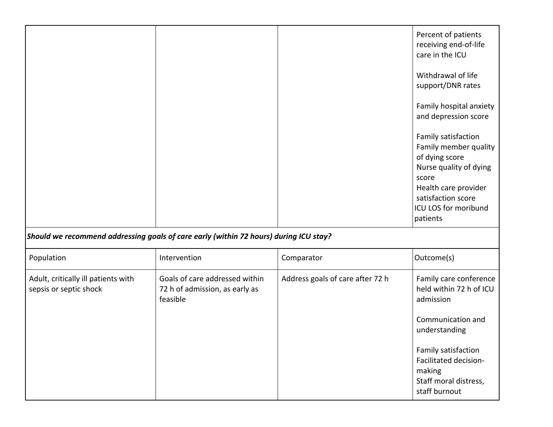|                                                                                       |                                                                              |                                  | Percent of patients<br>receiving end-of-life<br>care in the ICU<br>Withdrawal of life<br>support/DNR rates<br>Family hospital anxiety<br>and depression score<br>Family satisfaction<br>Family member quality<br>of dying score<br>Nurse quality of dying<br>score<br>Health care provider<br>satisfaction score<br>ICU LOS for moribund<br>patients |
|---------------------------------------------------------------------------------------|------------------------------------------------------------------------------|----------------------------------|------------------------------------------------------------------------------------------------------------------------------------------------------------------------------------------------------------------------------------------------------------------------------------------------------------------------------------------------------|
| Should we recommend addressing goals of care early (within 72 hours) during ICU stay? |                                                                              |                                  |                                                                                                                                                                                                                                                                                                                                                      |
| Population                                                                            | Intervention                                                                 | Comparator                       | Outcome(s)                                                                                                                                                                                                                                                                                                                                           |
| Adult, critically ill patients with<br>sepsis or septic shock                         | Goals of care addressed within<br>72 h of admission, as early as<br>feasible | Address goals of care after 72 h | Family care conference<br>held within 72 h of ICU<br>admission<br>Communication and<br>understanding<br>Family satisfaction<br>Facilitated decision-<br>making<br>Staff moral distress,<br>staff burnout                                                                                                                                             |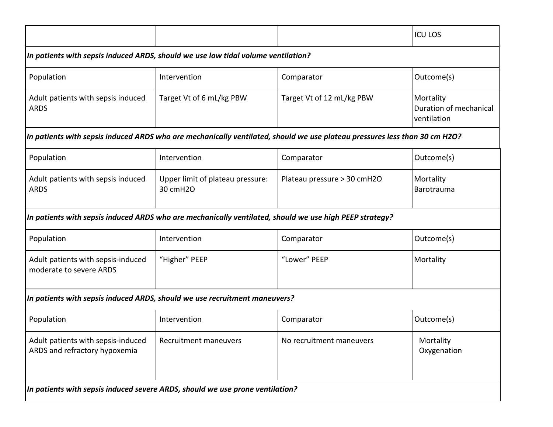|                                                                                                         |                                                                                                                            |                             | <b>ICU LOS</b>                                     |  |  |
|---------------------------------------------------------------------------------------------------------|----------------------------------------------------------------------------------------------------------------------------|-----------------------------|----------------------------------------------------|--|--|
| In patients with sepsis induced ARDS, should we use low tidal volume ventilation?                       |                                                                                                                            |                             |                                                    |  |  |
| Population                                                                                              | Intervention                                                                                                               | Comparator                  | Outcome(s)                                         |  |  |
| Adult patients with sepsis induced<br><b>ARDS</b>                                                       | Target Vt of 6 mL/kg PBW                                                                                                   | Target Vt of 12 mL/kg PBW   | Mortality<br>Duration of mechanical<br>ventilation |  |  |
|                                                                                                         | In patients with sepsis induced ARDS who are mechanically ventilated, should we use plateau pressures less than 30 cm H2O? |                             |                                                    |  |  |
| Population                                                                                              | Intervention                                                                                                               | Comparator                  | Outcome(s)                                         |  |  |
| Adult patients with sepsis induced<br><b>ARDS</b>                                                       | Upper limit of plateau pressure:<br>30 cmH2O                                                                               | Plateau pressure > 30 cmH2O | Mortality<br>Barotrauma                            |  |  |
| In patients with sepsis induced ARDS who are mechanically ventilated, should we use high PEEP strategy? |                                                                                                                            |                             |                                                    |  |  |
| Population                                                                                              | Intervention                                                                                                               | Comparator                  | Outcome(s)                                         |  |  |
| Adult patients with sepsis-induced<br>moderate to severe ARDS                                           | "Higher" PEEP                                                                                                              | "Lower" PEEP                | Mortality                                          |  |  |
| In patients with sepsis induced ARDS, should we use recruitment maneuvers?                              |                                                                                                                            |                             |                                                    |  |  |
| Population                                                                                              | Intervention                                                                                                               | Comparator                  | Outcome(s)                                         |  |  |
| Adult patients with sepsis-induced<br>ARDS and refractory hypoxemia                                     | Recruitment maneuvers                                                                                                      | No recruitment maneuvers    | Mortality<br>Oxygenation                           |  |  |
| In patients with sepsis induced severe ARDS, should we use prone ventilation?                           |                                                                                                                            |                             |                                                    |  |  |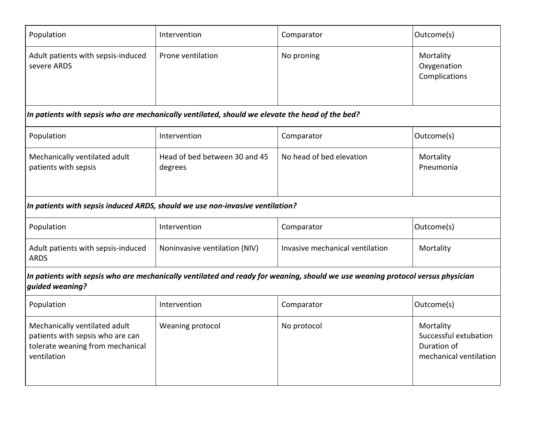| Population                                                                                                                                        | Intervention                             | Comparator                      | Outcome(s)                                                                  |  |
|---------------------------------------------------------------------------------------------------------------------------------------------------|------------------------------------------|---------------------------------|-----------------------------------------------------------------------------|--|
| Adult patients with sepsis-induced<br>severe ARDS                                                                                                 | Prone ventilation                        | No proning                      | Mortality<br>Oxygenation<br>Complications                                   |  |
| In patients with sepsis who are mechanically ventilated, should we elevate the head of the bed?                                                   |                                          |                                 |                                                                             |  |
| Population                                                                                                                                        | Intervention                             | Comparator                      | Outcome(s)                                                                  |  |
| Mechanically ventilated adult<br>patients with sepsis                                                                                             | Head of bed between 30 and 45<br>degrees | No head of bed elevation        | Mortality<br>Pneumonia                                                      |  |
| In patients with sepsis induced ARDS, should we use non-invasive ventilation?                                                                     |                                          |                                 |                                                                             |  |
| Population                                                                                                                                        | Intervention                             | Comparator                      | Outcome(s)                                                                  |  |
| Adult patients with sepsis-induced<br><b>ARDS</b>                                                                                                 | Noninvasive ventilation (NIV)            | Invasive mechanical ventilation | Mortality                                                                   |  |
| In patients with sepsis who are mechanically ventilated and ready for weaning, should we use weaning protocol versus physician<br>guided weaning? |                                          |                                 |                                                                             |  |
| Population                                                                                                                                        | Intervention                             | Comparator                      | Outcome(s)                                                                  |  |
| Mechanically ventilated adult<br>patients with sepsis who are can<br>tolerate weaning from mechanical<br>ventilation                              | Weaning protocol                         | No protocol                     | Mortality<br>Successful extubation<br>Duration of<br>mechanical ventilation |  |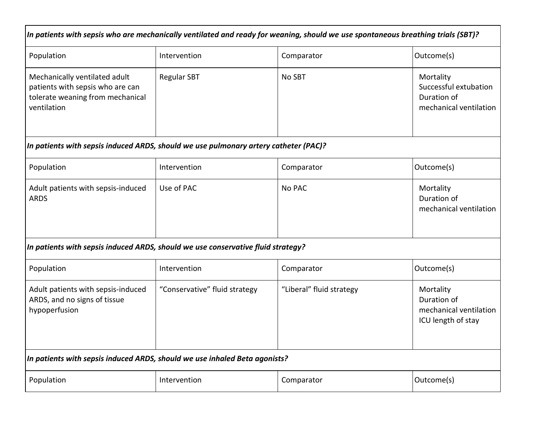| In patients with sepsis who are mechanically ventilated and ready for weaning, should we use spontaneous breathing trials (SBT)? |                                                                                      |                          |                                                                             |  |
|----------------------------------------------------------------------------------------------------------------------------------|--------------------------------------------------------------------------------------|--------------------------|-----------------------------------------------------------------------------|--|
| Population                                                                                                                       | Intervention                                                                         | Comparator               | Outcome(s)                                                                  |  |
| Mechanically ventilated adult<br>patients with sepsis who are can<br>tolerate weaning from mechanical<br>ventilation             | <b>Regular SBT</b>                                                                   | No SBT                   | Mortality<br>Successful extubation<br>Duration of<br>mechanical ventilation |  |
|                                                                                                                                  | In patients with sepsis induced ARDS, should we use pulmonary artery catheter (PAC)? |                          |                                                                             |  |
| Population                                                                                                                       | Intervention                                                                         | Comparator               | Outcome(s)                                                                  |  |
| Adult patients with sepsis-induced<br><b>ARDS</b>                                                                                | Use of PAC                                                                           | No PAC                   | Mortality<br>Duration of<br>mechanical ventilation                          |  |
| In patients with sepsis induced ARDS, should we use conservative fluid strategy?                                                 |                                                                                      |                          |                                                                             |  |
| Population                                                                                                                       | Intervention                                                                         | Comparator               | Outcome(s)                                                                  |  |
| Adult patients with sepsis-induced<br>ARDS, and no signs of tissue<br>hypoperfusion                                              | "Conservative" fluid strategy                                                        | "Liberal" fluid strategy | Mortality<br>Duration of<br>mechanical ventilation<br>ICU length of stay    |  |
| In patients with sepsis induced ARDS, should we use inhaled Beta agonists?                                                       |                                                                                      |                          |                                                                             |  |
| Population                                                                                                                       | Intervention                                                                         | Comparator               | Outcome(s)                                                                  |  |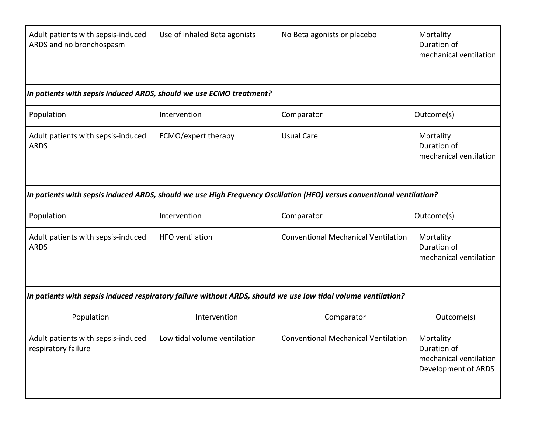| Adult patients with sepsis-induced<br>ARDS and no bronchospasm                                                        | Use of inhaled Beta agonists | No Beta agonists or placebo                | Mortality<br>Duration of<br>mechanical ventilation                        |
|-----------------------------------------------------------------------------------------------------------------------|------------------------------|--------------------------------------------|---------------------------------------------------------------------------|
| In patients with sepsis induced ARDS, should we use ECMO treatment?                                                   |                              |                                            |                                                                           |
| Population                                                                                                            | Intervention                 | Comparator                                 | Outcome(s)                                                                |
| Adult patients with sepsis-induced<br><b>ARDS</b>                                                                     | <b>ECMO/expert therapy</b>   | <b>Usual Care</b>                          | Mortality<br>Duration of<br>mechanical ventilation                        |
| In patients with sepsis induced ARDS, should we use High Frequency Oscillation (HFO) versus conventional ventilation? |                              |                                            |                                                                           |
| Population                                                                                                            | Intervention                 | Comparator                                 | Outcome(s)                                                                |
| Adult patients with sepsis-induced<br><b>ARDS</b>                                                                     | <b>HFO</b> ventilation       | <b>Conventional Mechanical Ventilation</b> | Mortality<br>Duration of<br>mechanical ventilation                        |
| In patients with sepsis induced respiratory failure without ARDS, should we use low tidal volume ventilation? $\,$    |                              |                                            |                                                                           |
| Population                                                                                                            | Intervention                 | Comparator                                 | Outcome(s)                                                                |
| Adult patients with sepsis-induced<br>respiratory failure                                                             | Low tidal volume ventilation | <b>Conventional Mechanical Ventilation</b> | Mortality<br>Duration of<br>mechanical ventilation<br>Development of ARDS |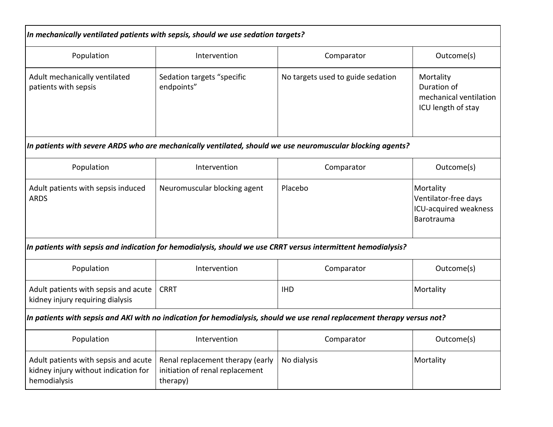| In mechanically ventilated patients with sepsis, should we use sedation targets?                                         |                                                                                 |                                                                                                               |                                                                          |  |
|--------------------------------------------------------------------------------------------------------------------------|---------------------------------------------------------------------------------|---------------------------------------------------------------------------------------------------------------|--------------------------------------------------------------------------|--|
| Population                                                                                                               | Intervention                                                                    | Comparator                                                                                                    | Outcome(s)                                                               |  |
| Adult mechanically ventilated<br>patients with sepsis                                                                    | Sedation targets "specific<br>endpoints"                                        | No targets used to guide sedation                                                                             | Mortality<br>Duration of<br>mechanical ventilation<br>ICU length of stay |  |
|                                                                                                                          |                                                                                 | In patients with severe ARDS who are mechanically ventilated, should we use neuromuscular blocking agents?    |                                                                          |  |
| Population                                                                                                               | Intervention                                                                    | Comparator                                                                                                    | Outcome(s)                                                               |  |
| Adult patients with sepsis induced<br><b>ARDS</b>                                                                        | Neuromuscular blocking agent                                                    | Placebo                                                                                                       | Mortality<br>Ventilator-free days<br>ICU-acquired weakness<br>Barotrauma |  |
|                                                                                                                          |                                                                                 | In patients with sepsis and indication for hemodialysis, should we use CRRT versus intermittent hemodialysis? |                                                                          |  |
| Population                                                                                                               | Intervention                                                                    | Comparator                                                                                                    | Outcome(s)                                                               |  |
| Adult patients with sepsis and acute<br>kidney injury requiring dialysis                                                 | <b>CRRT</b>                                                                     | <b>IHD</b>                                                                                                    | Mortality                                                                |  |
| In patients with sepsis and AKI with no indication for hemodialysis, should we use renal replacement therapy versus not? |                                                                                 |                                                                                                               |                                                                          |  |
| Population                                                                                                               | Intervention                                                                    | Comparator                                                                                                    | Outcome(s)                                                               |  |
| Adult patients with sepsis and acute<br>kidney injury without indication for<br>hemodialysis                             | Renal replacement therapy (early<br>initiation of renal replacement<br>therapy) | No dialysis                                                                                                   | Mortality                                                                |  |